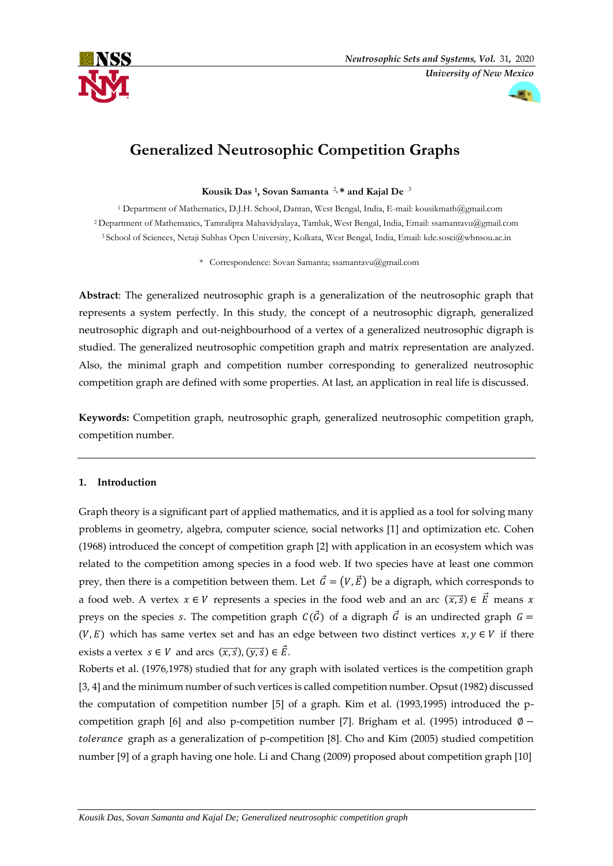



# **Generalized Neutrosophic Competition Graphs**

**Kousik Das <sup>1</sup> , Sovan Samanta** <sup>2</sup>**, \* and Kajal De** <sup>3</sup>

<sup>1</sup> Department of Mathematics, D.J.H. School, Dantan, West Bengal, India, E-mail: kousikmath@gmail.com <sup>2</sup> Department of Mathematics, Tamralipta Mahavidyalaya, Tamluk, West Bengal, India, Email: ssamantavu@gmail.com <sup>3</sup> School of Sciences, Netaji Subhas Open University, Kolkata, West Bengal, India, Email[: kde.sosci@wbnsou.ac.in](mailto:kde.sosci@wbnsou.ac.in)

\* Correspondence: Sovan Samanta; ssamantavu@gmail.com

**Abstract**: The generalized neutrosophic graph is a generalization of the neutrosophic graph that represents a system perfectly. In this study, the concept of a neutrosophic digraph, generalized neutrosophic digraph and out-neighbourhood of a vertex of a generalized neutrosophic digraph is studied. The generalized neutrosophic competition graph and matrix representation are analyzed. Also, the minimal graph and competition number corresponding to generalized neutrosophic competition graph are defined with some properties. At last, an application in real life is discussed.

**Keywords:** Competition graph, neutrosophic graph, generalized neutrosophic competition graph, competition number.

## **1. Introduction**

Graph theory is a significant part of applied mathematics, and it is applied as a tool for solving many problems in geometry, algebra, computer science, social networks [1] and optimization etc. Cohen (1968) introduced the concept of competition graph [2] with application in an ecosystem which was related to the competition among species in a food web. If two species have at least one common prey, then there is a competition between them. Let  $\vec{G} = (V, \vec{E})$  be a digraph, which corresponds to a food web. A vertex  $x \in V$  represents a species in the food web and an arc  $(\overline{x}, \overline{s}) \in \overrightarrow{E}$  means x preys on the species s. The competition graph  $C(\vec{G})$  of a digraph  $\vec{G}$  is an undirected graph  $G =$  $(V, E)$  which has same vertex set and has an edge between two distinct vertices  $x, y \in V$  if there exists a vertex  $s \in V$  and arcs  $(\overrightarrow{x}, \overrightarrow{s})$ ,  $(\overrightarrow{y}, \overrightarrow{s}) \in \overrightarrow{E}$ .

Roberts et al. (1976,1978) studied that for any graph with isolated vertices is the competition graph [3, 4] and the minimum number of such vertices is called competition number. Opsut (1982) discussed the computation of competition number [5] of a graph. Kim et al. (1993,1995) introduced the pcompetition graph [6] and also p-competition number [7]. Brigham et al. (1995) introduced  $\phi$  –  $tolerance$  graph as a generalization of p-competition [8]. Cho and Kim (2005) studied competition number [9] of a graph having one hole. Li and Chang (2009) proposed about competition graph [10]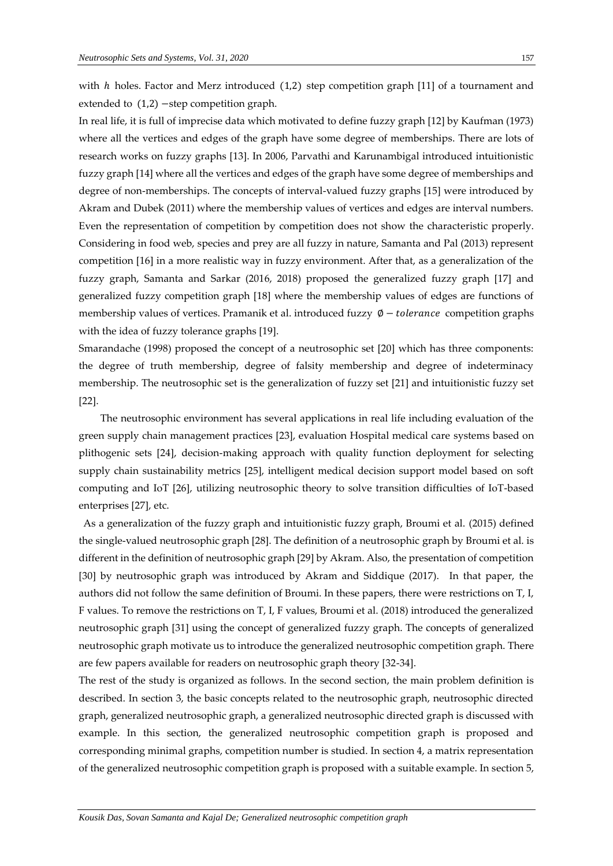extended to (1,2)−step competition graph.

In real life, it is full of imprecise data which motivated to define fuzzy graph [12] by Kaufman (1973) where all the vertices and edges of the graph have some degree of memberships. There are lots of research works on fuzzy graphs [13]. In 2006, Parvathi and Karunambigal introduced intuitionistic fuzzy graph [14] where all the vertices and edges of the graph have some degree of memberships and degree of non-memberships. The concepts of interval-valued fuzzy graphs [15] were introduced by Akram and Dubek (2011) where the membership values of vertices and edges are interval numbers. Even the representation of competition by competition does not show the characteristic properly. Considering in food web, species and prey are all fuzzy in nature, Samanta and Pal (2013) represent competition [16] in a more realistic way in fuzzy environment. After that, as a generalization of the fuzzy graph, Samanta and Sarkar (2016, 2018) proposed the generalized fuzzy graph [17] and generalized fuzzy competition graph [18] where the membership values of edges are functions of membership values of vertices. Pramanik et al. introduced fuzzy  $\emptyset$  – *tolerance* competition graphs with the idea of fuzzy tolerance graphs [19].

Smarandache (1998) proposed the concept of a neutrosophic set [20] which has three components: the degree of truth membership, degree of falsity membership and degree of indeterminacy membership. The neutrosophic set is the generalization of fuzzy set [21] and intuitionistic fuzzy set [22].

The neutrosophic environment has several applications in real life including evaluation of the green supply chain management practices [23], evaluation Hospital medical care systems based on plithogenic sets [24], decision-making approach with quality function deployment for selecting supply chain sustainability metrics [25], intelligent medical decision support model based on soft computing and IoT [26], utilizing neutrosophic theory to solve transition difficulties of IoT-based enterprises [27], etc.

As a generalization of the fuzzy graph and intuitionistic fuzzy graph, Broumi et al. (2015) defined the single-valued neutrosophic graph [28]. The definition of a neutrosophic graph by Broumi et al. is different in the definition of neutrosophic graph [29] by Akram. Also, the presentation of competition [30] by neutrosophic graph was introduced by Akram and Siddique (2017). In that paper, the authors did not follow the same definition of Broumi. In these papers, there were restrictions on T, I, F values. To remove the restrictions on T, I, F values, Broumi et al. (2018) introduced the generalized neutrosophic graph [31] using the concept of generalized fuzzy graph. The concepts of generalized neutrosophic graph motivate us to introduce the generalized neutrosophic competition graph. There are few papers available for readers on neutrosophic graph theory [32-34].

The rest of the study is organized as follows. In the second section, the main problem definition is described. In section 3, the basic concepts related to the neutrosophic graph, neutrosophic directed graph, generalized neutrosophic graph, a generalized neutrosophic directed graph is discussed with example. In this section, the generalized neutrosophic competition graph is proposed and corresponding minimal graphs, competition number is studied. In section 4, a matrix representation of the generalized neutrosophic competition graph is proposed with a suitable example. In section 5,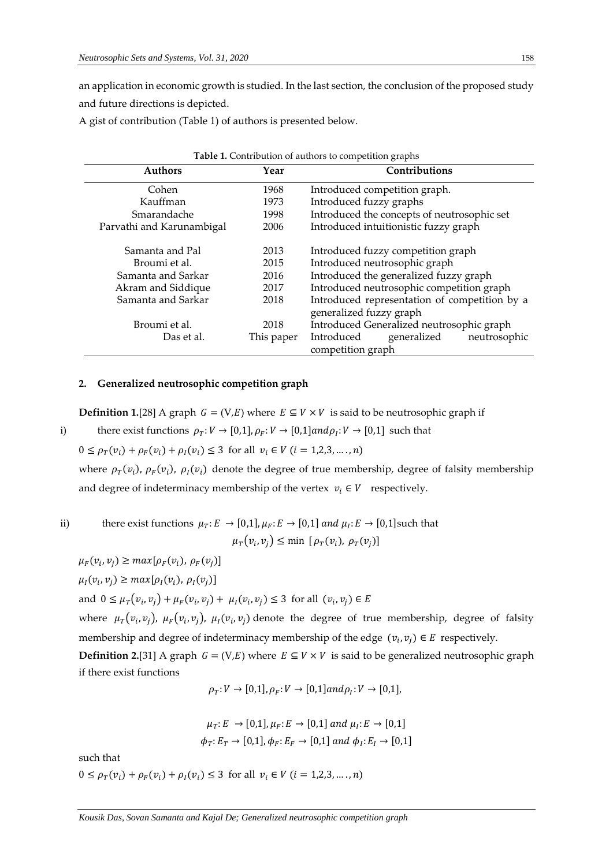an application in economic growth is studied. In the last section, the conclusion of the proposed study and future directions is depicted.

A gist of contribution (Table 1) of authors is presented below.

|                           | <b>Table 1.</b> Contribution of authors to competition graphs |                                                                          |  |  |  |
|---------------------------|---------------------------------------------------------------|--------------------------------------------------------------------------|--|--|--|
| <b>Authors</b>            | Year                                                          | <b>Contributions</b>                                                     |  |  |  |
| Cohen                     | 1968                                                          | Introduced competition graph.                                            |  |  |  |
| Kauffman                  | 1973                                                          | Introduced fuzzy graphs                                                  |  |  |  |
| Smarandache               | 1998                                                          | Introduced the concepts of neutrosophic set                              |  |  |  |
| Parvathi and Karunambigal | 2006                                                          | Introduced intuitionistic fuzzy graph                                    |  |  |  |
| Samanta and Pal           | 2013                                                          | Introduced fuzzy competition graph                                       |  |  |  |
| Broumi et al.             | 2015                                                          | Introduced neutrosophic graph                                            |  |  |  |
| Samanta and Sarkar        | 2016                                                          | Introduced the generalized fuzzy graph                                   |  |  |  |
| Akram and Siddique        | 2017                                                          | Introduced neutrosophic competition graph                                |  |  |  |
| Samanta and Sarkar        | 2018                                                          | Introduced representation of competition by a<br>generalized fuzzy graph |  |  |  |
| Broumi et al.             | 2018                                                          | Introduced Generalized neutrosophic graph                                |  |  |  |
| Das et al.                | This paper                                                    | neutrosophic<br>Introduced<br>generalized<br>competition graph           |  |  |  |

### **2. Generalized neutrosophic competition graph**

**Definition 1.**[28] A graph  $G = (V, E)$  where  $E \subseteq V \times V$  is said to be neutrosophic graph if

i) there exist functions  $\rho_T: V \to [0,1], \rho_F: V \to [0,1]$  and  $\rho_I: V \to [0,1]$  such that

 $0 \leq \rho_T(v_i) + \rho_F(v_i) + \rho_I(v_i) \leq 3$  for all  $v_i \in V$   $(i = 1,2,3,...,n)$ 

where  $\rho_T(v_i)$ ,  $\rho_F(v_i)$ ,  $\rho_I(v_i)$  denote the degree of true membership, degree of falsity membership and degree of indeterminacy membership of the vertex  $v_i \in V$  respectively.

ii) there exist functions 
$$
\mu_T: E \to [0,1], \mu_F: E \to [0,1]
$$
 and  $\mu_I: E \to [0,1]$  such that  

$$
\mu_T(v_i, v_j) \le \min [\rho_T(v_i), \rho_T(v_j)]
$$

 $\mu_F(v_i, v_j) \geq max[\rho_F(v_i), \rho_F(v_j)]$ 

 $\mu_I(v_i, v_j) \geq max[\rho_I(v_i), \rho_I(v_j)]$ 

and  $0 \leq \mu_T(v_i, v_j) + \mu_F(v_i, v_j) + \mu_I(v_i, v_j) \leq 3$  for all  $(v_i, v_j) \in E$ 

where  $\mu_T(v_i, v_j)$ ,  $\mu_F(v_i, v_j)$ ,  $\mu_I(v_i, v_j)$  denote the degree of true membership, degree of falsity membership and degree of indeterminacy membership of the edge  $(v_i, v_j) \in E$  respectively.

**Definition 2.**[31] A graph  $G = (V, E)$  where  $E \subseteq V \times V$  is said to be generalized neutrosophic graph if there exist functions

 $\rho_T: V \to [0,1], \rho_F: V \to [0,1]$ and $\rho_I: V \to [0,1]$ ,

$$
\mu_T: E \to [0,1], \mu_F: E \to [0,1] \text{ and } \mu_I: E \to [0,1]
$$
  

$$
\phi_T: E_T \to [0,1], \phi_F: E_F \to [0,1] \text{ and } \phi_I: E_I \to [0,1]
$$

such that

 $0 \leq \rho_T(v_i) + \rho_F(v_i) + \rho_I(v_i) \leq 3$  for all  $v_i \in V$   $(i = 1,2,3,..., n)$ 

*Kousik Das, Sovan Samanta and Kajal De; Generalized neutrosophic competition graph*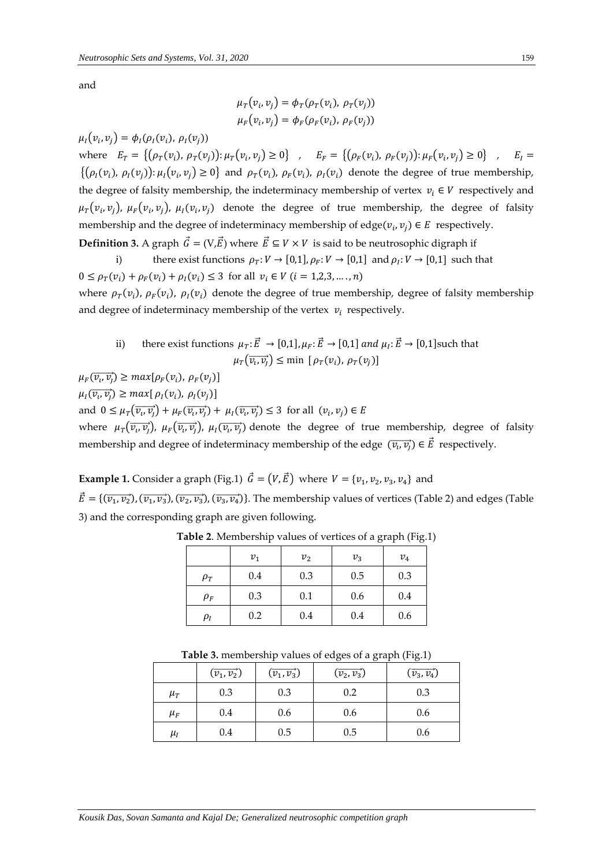and

$$
\mu_T(v_i, v_j) = \phi_T(\rho_T(v_i), \rho_T(v_j))
$$
  

$$
\mu_F(v_i, v_j) = \phi_F(\rho_F(v_i), \rho_F(v_j))
$$

 $\mu_I(v_i, v_j) = \phi_I(\rho_I(v_i), \rho_I(v_j))$ 

where  $E_T = \{(\rho_T(v_i), \rho_T(v_j)) : \mu_T(v_i, v_j) \ge 0\}$ ,  $E_F = \{(\rho_F(v_i), \rho_F(v_j)) : \mu_F(v_i, v_j) \ge 0\}$ ,  $E_I =$  $\{(\rho_I(v_i), \rho_I(v_j)) : \mu_I(v_i, v_j) \ge 0\}$  and  $\rho_T(v_i), \rho_F(v_i), \rho_I(v_i)$  denote the degree of true membership, the degree of falsity membership, the indeterminacy membership of vertex  $v_i \in V$  respectively and  $\mu_T(v_i, v_j)$ ,  $\mu_F(v_i, v_j)$ ,  $\mu_I(v_i, v_j)$  denote the degree of true membership, the degree of falsity membership and the degree of indeterminacy membership of edge $(v_i, v_j) \in E$  respectively.

**Definition 3.** A graph  $\vec{G} = (V, \vec{E})$  where  $\vec{E} \subseteq V \times V$  is said to be neutrosophic digraph if

i) there exist functions  $\rho_T: V \to [0,1], \rho_F: V \to [0,1]$  and  $\rho_I: V \to [0,1]$  such that  $0 \leq \rho_T(v_i) + \rho_F(v_i) + \rho_I(v_i) \leq 3$  for all  $v_i \in V$   $(i = 1,2,3,..., n)$ 

where  $\rho_T(v_i)$ ,  $\rho_F(v_i)$ ,  $\rho_I(v_i)$  denote the degree of true membership, degree of falsity membership and degree of indeterminacy membership of the vertex  $v_i$  respectively.

ii) there exist functions  $\mu_T : \vec{E} \to [0,1], \mu_F : \vec{E} \to [0,1]$  and  $\mu_I : \vec{E} \to [0,1]$  such that  $\mu_T(\overrightarrow{v_i}, \overrightarrow{v_j}) \le \min \left[ \rho_T(v_i), \rho_T(v_j) \right]$ 

 $\mu_F(\overrightarrow{v_i}, \overrightarrow{v_j}) \ge max[\rho_F(v_i), \rho_F(v_j)]$ 

 $\mu_I(\overrightarrow{v_i}, \overrightarrow{v_j}) \ge max[\rho_I(v_i), \rho_I(v_j)]$ 

and  $0 \leq \mu_T(\overrightarrow{v_i, v_j}) + \mu_F(\overrightarrow{v_i, v_j}) + \mu_I(\overrightarrow{v_i, v_j}) \leq 3$  for all  $(v_i, v_j) \in E$ 

where  $\mu_T(\overrightarrow{v_i,v_j})$ ,  $\mu_F(\overrightarrow{v_i,v_j})$ ,  $\mu_I(\overrightarrow{v_i,v_j})$  denote the degree of true membership, degree of falsity membership and degree of indeterminacy membership of the edge  $(\,\overrightarrow{v_{\iota}},\overrightarrow{v_{j}})\in\vec{E}\,$  respectively.

**Example 1.** Consider a graph (Fig.1)  $\vec{G} = (V, \vec{E})$  where  $V = \{v_1, v_2, v_3, v_4\}$  and

 $\vec{E} = \{(\overrightarrow{v_1}, \overrightarrow{v_2}), (\overrightarrow{v_2}, \overrightarrow{v_3}), (\overrightarrow{v_3}, \overrightarrow{v_4})\}$ . The membership values of vertices (Table 2) and edges (Table 3) and the corresponding graph are given following.

|          | $v_1$ | v <sub>2</sub> | $v_3$ | $v_4$ |
|----------|-------|----------------|-------|-------|
| $\rho_T$ | 0.4   | 0.3            | 0.5   | 0.3   |
| $\rho_F$ | 0.3   | 0.1            | 0.6   | 0.4   |
| $\rho_I$ | 0.2   | 0.4            | 0.4   | 0.6   |

**Table 2**. Membership values of vertices of a graph (Fig.1)

| <b>Table 3.</b> membership values of edges of a graph (Fig.1) |  |  |  |
|---------------------------------------------------------------|--|--|--|
|---------------------------------------------------------------|--|--|--|

|         | $(\overrightarrow{v_1}, \overrightarrow{v_2})$ | $(\overrightarrow{v_1},\overrightarrow{v_3})$ | $(\overrightarrow{v_2}, \overrightarrow{v_3})$ | $(\overrightarrow{v_3},\overrightarrow{v_4})$ |
|---------|------------------------------------------------|-----------------------------------------------|------------------------------------------------|-----------------------------------------------|
| $\mu_T$ | 0.3                                            | 0.3                                           | 0.2                                            | 0.3                                           |
| $\mu_F$ | 0.4                                            | 0.6                                           | 0.6                                            | 0.6                                           |
| $\mu_I$ | 0.4                                            | 0.5                                           | 0.5                                            | 0.6                                           |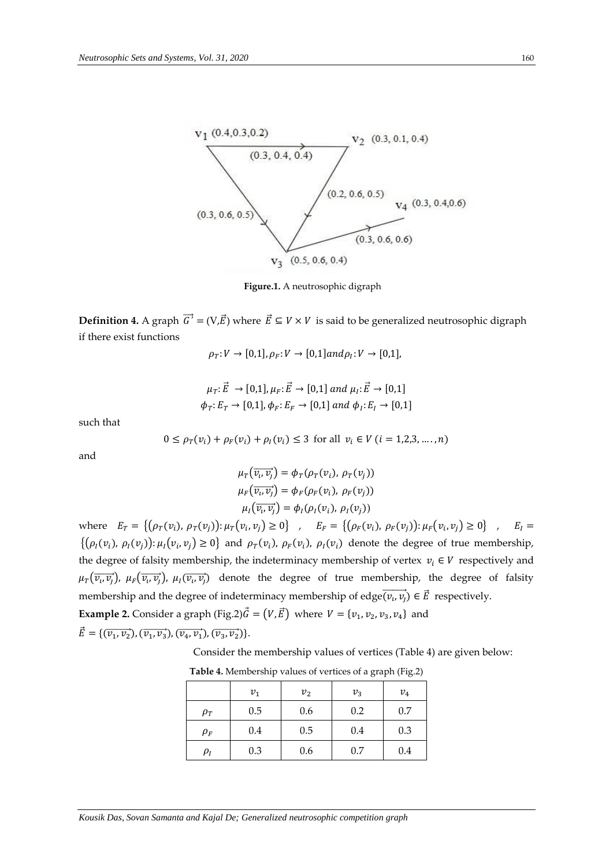

**Figure.1.** A neutrosophic digraph

**Definition 4.** A graph  $\overrightarrow{G}$  = (V, $\overrightarrow{E}$ ) where  $\overrightarrow{E}$  ⊆  $V \times V$  is said to be generalized neutrosophic digraph if there exist functions

 $\rho_T: V \to [0,1], \rho_F: V \to [0,1]$ and $\rho_I: V \to [0,1],$ 

$$
\mu_T: \vec{E} \rightarrow [0,1], \mu_F: \vec{E} \rightarrow [0,1] \text{ and } \mu_I: \vec{E} \rightarrow [0,1]
$$
  

$$
\phi_T: E_T \rightarrow [0,1], \phi_F: E_F \rightarrow [0,1] \text{ and } \phi_I: E_I \rightarrow [0,1]
$$

such that

$$
0 \le \rho_T(v_i) + \rho_F(v_i) + \rho_I(v_i) \le 3 \text{ for all } v_i \in V \ (i = 1, 2, 3, \dots, n)
$$

and

$$
\mu_T(\overrightarrow{v_i, v_j}) = \phi_T(\rho_T(v_i), \rho_T(v_j))
$$
  
\n
$$
\mu_F(\overrightarrow{v_i, v_j}) = \phi_F(\rho_F(v_i), \rho_F(v_j))
$$
  
\n
$$
\mu_I(\overrightarrow{v_i, v_j}) = \phi_I(\rho_I(v_i), \rho_I(v_j))
$$

where  $E_T = \{(\rho_T(v_i), \rho_T(v_j)) : \mu_T(v_i, v_j) \ge 0\}$ ,  $E_F = \{(\rho_F(v_i), \rho_F(v_j)) : \mu_F(v_i, v_j) \ge 0\}$ ,  $E_I =$  $\{(\rho_I(v_i), \rho_I(v_j)) : \mu_I(v_i, v_j) \ge 0\}$  and  $\rho_T(v_i), \rho_F(v_i), \rho_I(v_i)$  denote the degree of true membership, the degree of falsity membership, the indeterminacy membership of vertex  $v_i \in V$  respectively and  $\mu_T(\overrightarrow{v_i,v_j})$ ,  $\mu_F(\overrightarrow{v_i,v_j})$ ,  $\mu_I(\overrightarrow{v_i,v_j})$  denote the degree of true membership, the degree of falsity membership and the degree of indeterminacy membership of edge $\overrightarrow{(v_i,v_j)} \in \vec{E}$  respectively. **Example 2.** Consider a graph (Fig.2) $\vec{G} = (V, \vec{E})$  where  $V = \{v_1, v_2, v_3, v_4\}$  and

 $\vec{E} = \{(\vec{v}_1, \vec{v}_2), (\vec{v}_1, \vec{v}_3), (\vec{v}_4, \vec{v}_1), (\vec{v}_3, \vec{v}_2)\}.$ 

Consider the membership values of vertices (Table 4) are given below:

|            | $v_1$ | v <sub>2</sub> | $v_{3}$ | $v_4$ |
|------------|-------|----------------|---------|-------|
| $\rho_T$   | 0.5   | 0.6            | 0.2     | 0.7   |
| $\rho_F$   | 0.4   | 0.5            | 0.4     | 0.3   |
| $\rho_{I}$ | 0.3   | 0.6            | 0.7     | 0.4   |

**Table 4.** Membership values of vertices of a graph (Fig.2)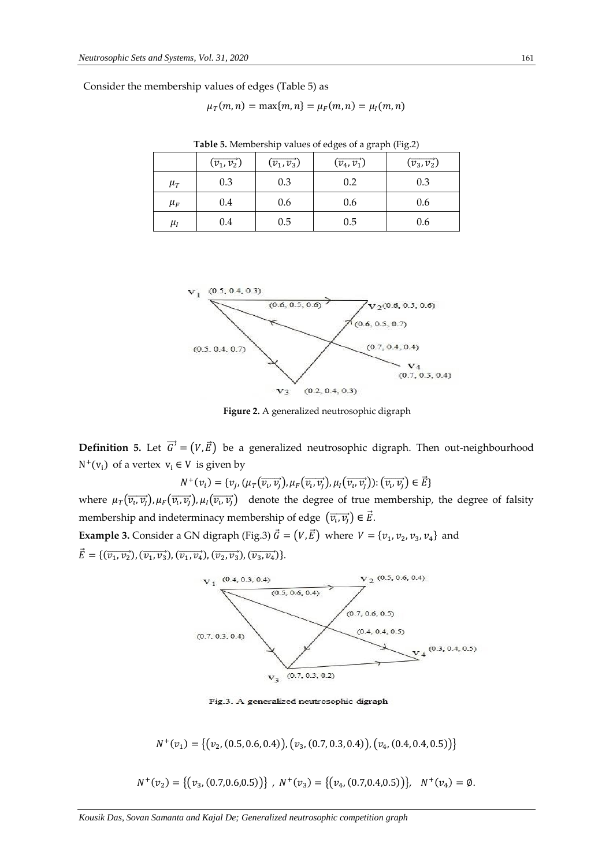Consider the membership values of edges (Table 5) as

 $\mu_T(m, n) = \max\{m, n\} = \mu_F(m, n) = \mu_I(m, n)$ 

|         | $(\overrightarrow{v_1}, \overrightarrow{v_2})$ | $(\overrightarrow{v_1},\overrightarrow{v_3})$ | $(\overrightarrow{v_4}, \overrightarrow{v_1})$ | $(\overrightarrow{v_3},\overrightarrow{v_2})$ |
|---------|------------------------------------------------|-----------------------------------------------|------------------------------------------------|-----------------------------------------------|
| $\mu_T$ | 0.3                                            | 0.3                                           | 0.2                                            | 0.3                                           |
| $\mu_F$ | 0.4                                            | 0.6                                           | 0.6                                            | 0.6                                           |
| $\mu_I$ | 0.4                                            | 0.5                                           | 0.5                                            | 0.6                                           |

**Table 5.** Membership values of edges of a graph (Fig.2)



**Figure 2.** A generalized neutrosophic digraph

**Definition 5.** Let  $\vec{G}$  =  $(V,\vec{E})$  be a generalized neutrosophic digraph. Then out-neighbourhood  $N^+(v_i)$  of a vertex  $v_i \in V$  is given by

$$
N^+(v_i) = \{v_j, (\mu_T(\overrightarrow{v_i,v_j}), \mu_F(\overrightarrow{v_i,v_j}), \mu_I(\overrightarrow{v_i,v_j})) : (\overrightarrow{v_i,v_j}) \in \vec{E}\}\
$$

where  $\mu_T(\overrightarrow{v_i,v_j}), \mu_F(\overrightarrow{v_i,v_j}), \mu_I(\overrightarrow{v_i,v_j})$  denote the degree of true membership, the degree of falsity membership and indeterminacy membership of edge  $\left(\overrightarrow{v_i,v_j}\right) \in \vec{E}$ .

**Example 3.** Consider a GN digraph (Fig.3)  $\vec{G} = (V, \vec{E})$  where  $V = \{v_1, v_2, v_3, v_4\}$  and  $\vec{E} = \{(\overrightarrow{v_1}, \overrightarrow{v_2}), (\overrightarrow{v_1}, \overrightarrow{v_3}), (\overrightarrow{v_2}, \overrightarrow{v_3}), (\overrightarrow{v_3}, \overrightarrow{v_4})\}.$ 



Fig.3. A generalized neutrosophic digraph

 $N^+(v_1) = \big\{ (v_2, (0.5, 0.6, 0.4)), (v_3, (0.7, 0.3, 0.4)), (v_4, (0.4, 0.4, 0.5)) \big\}$ 

 $N^+(v_2) = \{(v_3, (0.7, 0.6, 0.5))\}, N^+(v_3) = \{(v_4, (0.7, 0.4, 0.5))\}, N^+(v_4) = \emptyset.$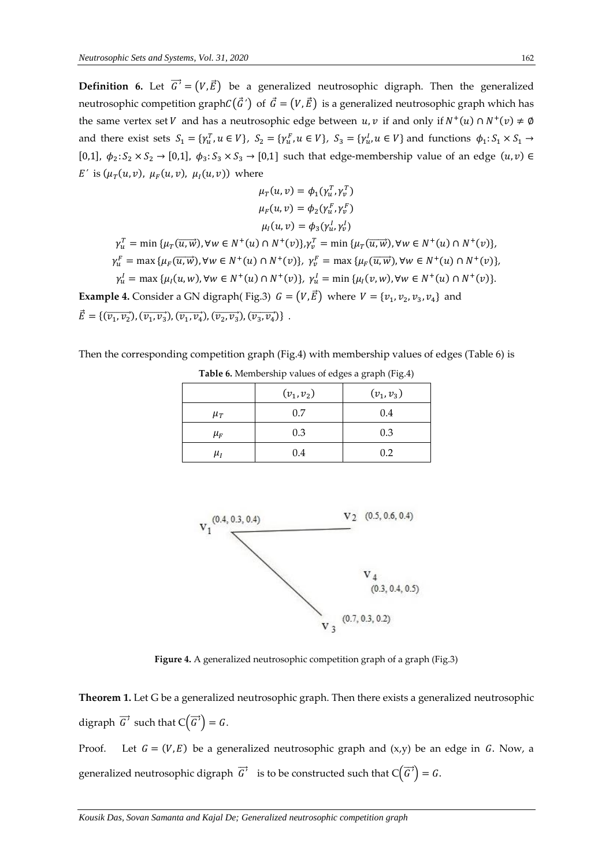**Definition 6.** Let  $\vec{G}' = (V, \vec{E})$  be a generalized neutrosophic digraph. Then the generalized neutrosophic competition graph $C(\vec{G}')$  of  $\vec{G} = (V, \vec{E})$  is a generalized neutrosophic graph which has the same vertex set V and has a neutrosophic edge between  $u, v$  if and only if  $N^+(u) \cap N^+(v) \neq \emptyset$ and there exist sets  $S_1 = \{ \gamma_u^T, u \in V \}$ ,  $S_2 = \{ \gamma_u^F, u \in V \}$ ,  $S_3 = \{ \gamma_u^I, u \in V \}$  and functions  $\phi_1: S_1 \times S_1 \to$ [0,1],  $\phi_2: S_2 \times S_2 \to [0,1]$ ,  $\phi_3: S_3 \times S_3 \to [0,1]$  such that edge-membership value of an edge  $(u, v) \in$ *E'* is  $(\mu_T(u, v), \mu_F(u, v), \mu_I(u, v))$  where

$$
\mu_{T}(u, v) = \phi_{1}(\gamma_{u}^{T}, \gamma_{v}^{T})
$$
\n
$$
\mu_{F}(u, v) = \phi_{2}(\gamma_{u}^{F}, \gamma_{v}^{F})
$$
\n
$$
\mu_{I}(u, v) = \phi_{3}(\gamma_{u}^{I}, \gamma_{v}^{I})
$$
\n
$$
\gamma_{u}^{T} = \min \{ \mu_{T}(\overline{u}, \overline{w}), \forall w \in N^{+}(u) \cap N^{+}(v) \}, \gamma_{v}^{T} = \min \{ \mu_{T}(\overline{u}, \overline{w}), \forall w \in N^{+}(u) \cap N^{+}(v) \},
$$
\n
$$
\gamma_{u}^{F} = \max \{ \mu_{F}(\overline{u}, \overline{w}), \forall w \in N^{+}(u) \cap N^{+}(v) \}, \gamma_{v}^{F} = \max \{ \mu_{F}(\overline{u}, \overline{w}), \forall w \in N^{+}(u) \cap N^{+}(v) \},
$$
\n
$$
\gamma_{u}^{I} = \max \{ \mu_{I}(u, w), \forall w \in N^{+}(u) \cap N^{+}(v) \}, \gamma_{u}^{I} = \min \{ \mu_{I}(v, w), \forall w \in N^{+}(u) \cap N^{+}(v) \}.
$$
\nExample 4. Consider a GN digraph( Fig.3)  $G = (V, \vec{E})$  where  $V = \{ v_{1}, v_{2}, v_{3}, v_{4} \}$  and

 $\vec{E} = \{(\overrightarrow{v_1}, \overrightarrow{v_2}), (\overrightarrow{v_1}, \overrightarrow{v_3}), (\overrightarrow{v_2}, \overrightarrow{v_4}), (\overrightarrow{v_2}, \overrightarrow{v_3}), (\overrightarrow{v_3}, \overrightarrow{v_4})\}$ .

Then the corresponding competition graph (Fig.4) with membership values of edges (Table 6) is

|         | $(v_1, v_2)$ | $(v_1, v_3)$ |
|---------|--------------|--------------|
| $\mu_T$ | 0.7          | 0.4          |
| $\mu_F$ | 0.3          | 0.3          |
| $\mu_I$ | 0.4          | 0.2          |

**Table 6.** Membership values of edges a graph (Fig.4)



**Figure 4.** A generalized neutrosophic competition graph of a graph (Fig.3)

**Theorem 1.** Let G be a generalized neutrosophic graph. Then there exists a generalized neutrosophic digraph  $\overrightarrow{G}$  such that  $C(\overrightarrow{G}) = G$ .

Proof. Let  $G = (V, E)$  be a generalized neutrosophic graph and  $(x, y)$  be an edge in G. Now, a generalized neutrosophic digraph  $\overrightarrow{G}'$  is to be constructed such that  $\mathsf{C}\big(\overrightarrow{G}\big)=G.$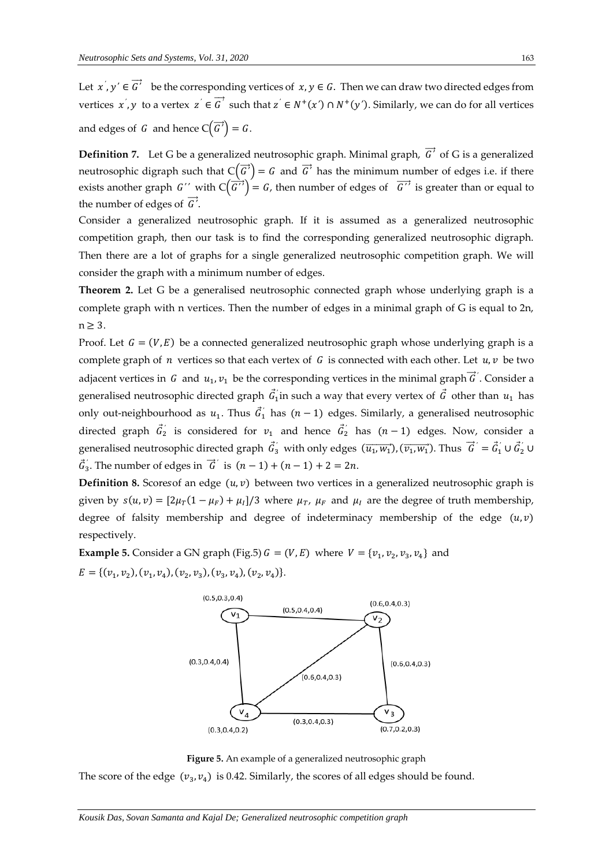Let  $x', y' \in \overrightarrow{G}'$  be the corresponding vertices of  $x, y \in G$ . Then we can draw two directed edges from *vertices*  $x', y$  to a vertex  $z' \in \overrightarrow{G}'$  such that  $z' \in N^+(x') \cap N^+(y')$ . Similarly, we can do for all vertices and edges of G and hence  $C(\overrightarrow{G}) = G$ .

**Definition** 7. Let G be a generalized neutrosophic graph. Minimal graph,  $\vec{G}$  of G is a generalized neutrosophic digraph such that  $C(\vec{G}) = G$  and  $\vec{G}$  has the minimum number of edges i.e. if there exists another graph *G''* with  $C(\overrightarrow{G'}) = G$ , then number of edges of  $\overrightarrow{G'}$  is greater than or equal to the number of edges of  $\overrightarrow{G}$ .

Consider a generalized neutrosophic graph. If it is assumed as a generalized neutrosophic competition graph, then our task is to find the corresponding generalized neutrosophic digraph. Then there are a lot of graphs for a single generalized neutrosophic competition graph. We will consider the graph with a minimum number of edges.

**Theorem 2.** Let G be a generalised neutrosophic connected graph whose underlying graph is a complete graph with n vertices. Then the number of edges in a minimal graph of G is equal to 2n,  $n > 3$ .

Proof. Let  $G = (V, E)$  be a connected generalized neutrosophic graph whose underlying graph is a complete graph of  $n$  vertices so that each vertex of  $G$  is connected with each other. Let  $u, v$  be two adjacent vertices in G and  $u_1, v_1$  be the corresponding vertices in the minimal graph  $\vec{G}$ <sup>'</sup>. Consider a generalised neutrosophic directed graph  $\vec{G}_1$  in such a way that every vertex of  $\vec{G}$  other than  $u_1$  has only out-neighbourhood as  $u_1$ . Thus  $\vec{G}_1$  has  $(n-1)$  edges. Similarly, a generalised neutrosophic directed graph  $\vec{G}'_2$  is considered for  $v_1$  and hence  $\vec{G}'_2$  has  $(n-1)$  edges. Now, consider a generalised neutrosophic directed graph  $\vec{G}_3'$  with only edges  $(\overrightarrow{u_1}, \overrightarrow{w_1})$ ,  $(\overrightarrow{v_1}, \overrightarrow{w_1})$ . Thus  $\vec{G}' = \vec{G}_1' \cup \vec{G}_2' \cup \vec{G}_3$  $\vec{G}'_3$ . The number of edges in  $\vec{G}'$  is  $(n-1) + (n-1) + 2 = 2n$ .

**Definition 8.** Scores f an edge  $(u, v)$  between two vertices in a generalized neutrosophic graph is given by  $s(u, v) = [2\mu_T(1 - \mu_F) + \mu_I]/3$  where  $\mu_T$ ,  $\mu_F$  and  $\mu_I$  are the degree of truth membership, degree of falsity membership and degree of indeterminacy membership of the edge  $(u, v)$ respectively.

**Example 5.** Consider a GN graph (Fig.5)  $G = (V, E)$  where  $V = \{v_1, v_2, v_3, v_4\}$  and  $E = \{ (v_1, v_2), (v_1, v_4), (v_2, v_3), (v_3, v_4), (v_2, v_4) \}.$ 



**Figure 5.** An example of a generalized neutrosophic graph The score of the edge  $(v_3, v_4)$  is 0.42. Similarly, the scores of all edges should be found.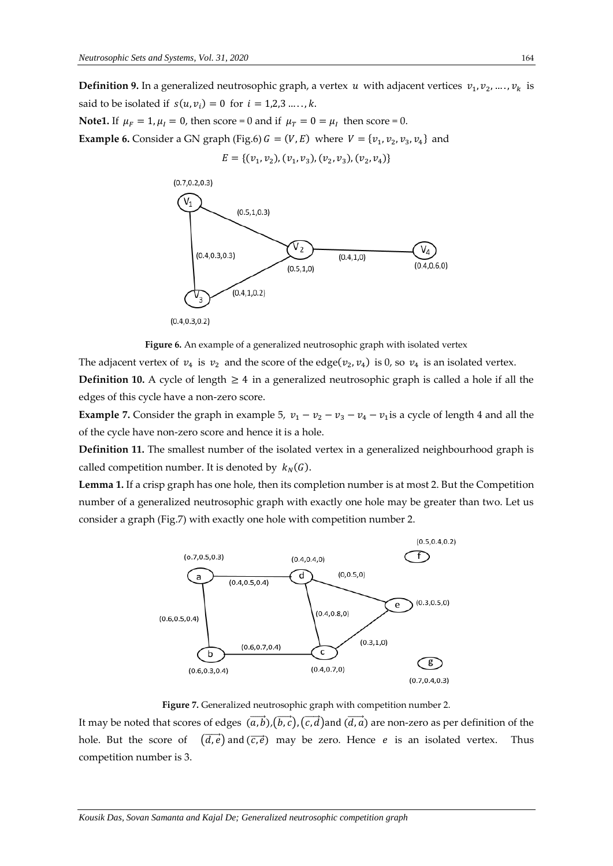**Definition 9.** In a generalized neutrosophic graph, a vertex  $u$  with adjacent vertices  $v_1, v_2, ..., v_k$  is said to be isolated if  $s(u, v_i) = 0$  for  $i = 1,2,3 \ldots, k$ .

**Note1.** If  $\mu_F = 1$ ,  $\mu_I = 0$ , then score = 0 and if  $\mu_T = 0 = \mu_I$  then score = 0. **Example 6.** Consider a GN graph (Fig.6)  $G = (V, E)$  where  $V = \{v_1, v_2, v_3, v_4\}$  and  $E = \{ (v_1, v_2), (v_1, v_3), (v_2, v_3), (v_2, v_4) \}$ 





The adjacent vertex of  $v_4$  is  $v_2$  and the score of the edge( $v_2, v_4$ ) is 0, so  $v_4$  is an isolated vertex. **Definition 10.** A cycle of length  $\geq 4$  in a generalized neutrosophic graph is called a hole if all the edges of this cycle have a non-zero score.

**Example 7.** Consider the graph in example 5,  $v_1 - v_2 - v_3 - v_4 - v_1$  is a cycle of length 4 and all the of the cycle have non-zero score and hence it is a hole.

**Definition 11.** The smallest number of the isolated vertex in a generalized neighbourhood graph is called competition number. It is denoted by  $k_N(G)$ .

**Lemma 1.** If a crisp graph has one hole, then its completion number is at most 2. But the Competition number of a generalized neutrosophic graph with exactly one hole may be greater than two. Let us consider a graph (Fig.7) with exactly one hole with competition number 2.



**Figure 7.** Generalized neutrosophic graph with competition number 2.

It may be noted that scores of edges  $(a, \vec{b})$ , $(\vec{b}, \vec{c})$ ,  $(\vec{c}, \vec{d})$  and  $(\vec{d}, \vec{a})$  are non-zero as per definition of the hole. But the score of  $(\overrightarrow{d,e})$  and  $(\overrightarrow{c,e})$  may be zero. Hence *e* is an isolated vertex. Thus competition number is 3.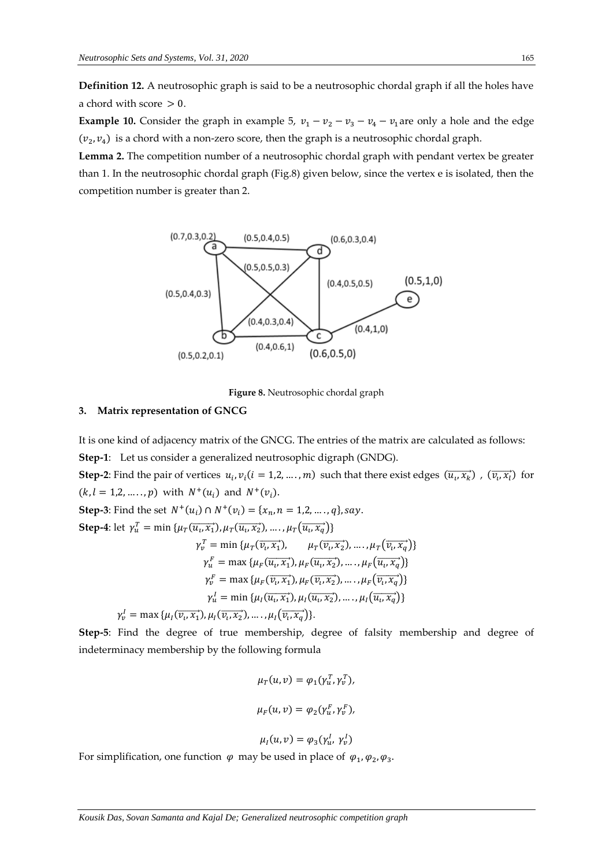**Definition 12.** A neutrosophic graph is said to be a neutrosophic chordal graph if all the holes have a chord with score  $> 0$ .

**Example 10.** Consider the graph in example 5,  $v_1 - v_2 - v_3 - v_4 - v_1$  are only a hole and the edge  $(v_2, v_4)$  is a chord with a non-zero score, then the graph is a neutrosophic chordal graph.

**Lemma 2.** The competition number of a neutrosophic chordal graph with pendant vertex be greater than 1. In the neutrosophic chordal graph (Fig.8) given below, since the vertex e is isolated, then the competition number is greater than 2.



**Figure 8.** Neutrosophic chordal graph

## **3. Matrix representation of GNCG**

It is one kind of adjacency matrix of the GNCG. The entries of the matrix are calculated as follows: **Step-1**: Let us consider a generalized neutrosophic digraph (GNDG). **Step-2**: Find the pair of vertices  $u_i, v_i (i = 1, 2, ..., m)$  such that there exist edges  $(\overrightarrow{u_i, x_k})$ ,  $(\overrightarrow{v_i, x_l})$  for  $(k, l = 1, 2, ..., p)$  with  $N^+(u_i)$  and  $N^+(v_i)$ . **Step-3**: Find the set  $N^+(u_i) \cap N^+(v_i) = \{x_n, n = 1, 2, ..., q\}$ , say. **Step-4**: let  $\gamma_u^T = \min \{ \mu_T(\overrightarrow{u_v x_1}), \mu_T(\overrightarrow{u_v x_2}), \dots, \mu_T(\overrightarrow{u_v x_q}) \}$  $\gamma_v^T = \min \{ \mu_T(\overrightarrow{v_i}, \overrightarrow{x_1}), \dots, \mu_T(\overrightarrow{v_i}, \overrightarrow{x_q}) \}$  $\gamma_u^F = \max \{ \mu_F(\overrightarrow{u_i, x_1}), \mu_F(\overrightarrow{u_i, x_2}), \dots, \mu_F(\overrightarrow{u_i, x_q}) \}$  $\gamma_v^F = \max \{ \mu_F(\overrightarrow{v_i, x_1}), \mu_F(\overrightarrow{v_i, x_2}), \dots, \mu_F(\overrightarrow{v_i, x_q}) \}$  $\gamma_u^I = \min \{ \mu_I(\overrightarrow{u_i, x_1}), \mu_I(\overrightarrow{u_i, x_2}), \dots, \mu_I(\overrightarrow{u_i, x_q}) \}$  $\gamma_v^I = \max \{ \mu_I(\overrightarrow{v_i, x_1}), \mu_I(\overrightarrow{v_i, x_2}), \dots, \mu_I(\overrightarrow{v_i, x_q}) \}.$ 

**Step-5**: Find the degree of true membership, degree of falsity membership and degree of indeterminacy membership by the following formula

$$
\mu_T(u, v) = \varphi_1(\gamma_u^T, \gamma_v^T),
$$
  

$$
\mu_F(u, v) = \varphi_2(\gamma_u^F, \gamma_v^F),
$$
  

$$
\mu_I(u, v) = \varphi_3(\gamma_u^I, \gamma_v^I)
$$

For simplification, one function  $\varphi$  may be used in place of  $\varphi_1, \varphi_2, \varphi_3$ .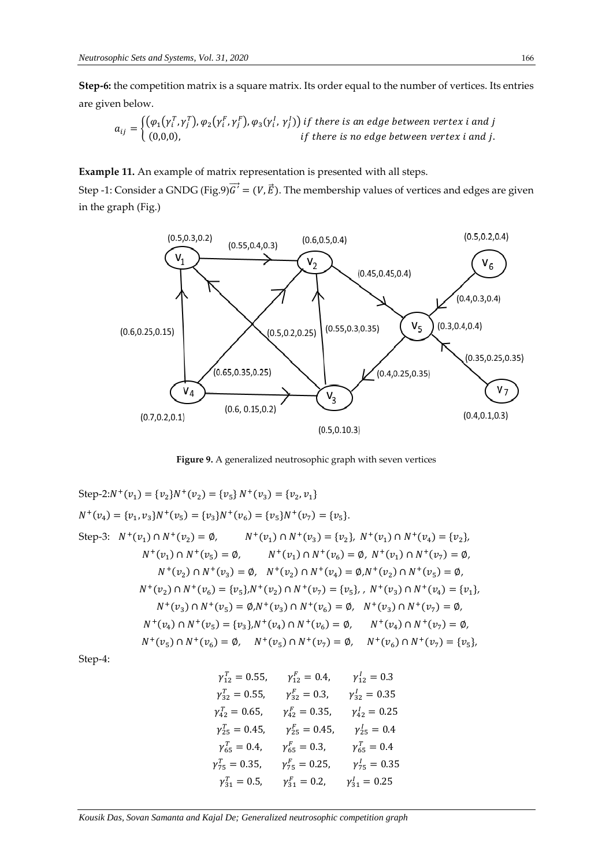**Step-6:** the competition matrix is a square matrix. Its order equal to the number of vertices. Its entries are given below.

$$
a_{ij} = \begin{cases} (\varphi_1(\gamma_i^T, \gamma_j^T), \varphi_2(\gamma_i^F, \gamma_j^F), \varphi_3(\gamma_i^I, \gamma_j^I)) & \text{if there is an edge between vertex } i \text{ and } j \\ (0,0,0), & \text{if there is no edge between vertex } i \text{ and } j. \end{cases}
$$

**Example 11.** An example of matrix representation is presented with all steps.

Step -1: Consider a GNDG (Fig.9) $\vec{G}' = (V, \vec{E})$ . The membership values of vertices and edges are given in the graph (Fig.)



**Figure 9.** A generalized neutrosophic graph with seven vertices

Step-2: <sup>+</sup>(<sup>1</sup> ) = {<sup>2</sup> } <sup>+</sup>(<sup>2</sup> ) = {<sup>5</sup> } <sup>+</sup>(<sup>3</sup> ) = {<sup>2</sup> , <sup>1</sup> } <sup>+</sup>(<sup>4</sup> ) = {<sup>1</sup> , <sup>3</sup> } <sup>+</sup>(<sup>5</sup> ) = {<sup>3</sup> } <sup>+</sup>(<sup>6</sup> ) = {<sup>5</sup> } <sup>+</sup>(<sup>7</sup> ) = {<sup>5</sup> }. Step-3: <sup>+</sup>(<sup>1</sup> ) ∩ <sup>+</sup>(<sup>2</sup> ) = ∅, <sup>+</sup>(<sup>1</sup> ) ∩ <sup>+</sup>(<sup>3</sup> ) = {<sup>2</sup> }, <sup>+</sup>(<sup>1</sup> ) ∩ <sup>+</sup>(<sup>4</sup> ) = {<sup>2</sup> }, <sup>+</sup>(<sup>1</sup> ) ∩ <sup>+</sup>(<sup>5</sup> ) = ∅, <sup>+</sup>(<sup>1</sup> ) ∩ <sup>+</sup>(<sup>6</sup> ) = ∅, <sup>+</sup>(<sup>1</sup> ) ∩ <sup>+</sup>(<sup>7</sup> ) = ∅, <sup>+</sup>(<sup>2</sup> ) ∩ <sup>+</sup>(<sup>3</sup> ) = ∅, <sup>+</sup>(<sup>2</sup> ) ∩ <sup>+</sup>(<sup>4</sup> ) = ∅, <sup>+</sup>(<sup>2</sup> ) ∩ <sup>+</sup>(<sup>5</sup> ) = ∅, <sup>+</sup>(<sup>2</sup> ) ∩ <sup>+</sup>(<sup>6</sup> ) = {<sup>5</sup> }, <sup>+</sup>(<sup>2</sup> ) ∩ <sup>+</sup>(<sup>7</sup> ) = {<sup>5</sup> }, , <sup>+</sup>(<sup>3</sup> ) ∩ <sup>+</sup>(<sup>4</sup> ) = {<sup>1</sup> }, <sup>+</sup>(<sup>3</sup> ) ∩ <sup>+</sup>(<sup>5</sup> ) = ∅, <sup>+</sup>(<sup>3</sup> ) ∩ <sup>+</sup>(<sup>6</sup> ) = ∅, <sup>+</sup>(<sup>3</sup> ) ∩ <sup>+</sup>(<sup>7</sup> ) = ∅, <sup>+</sup>(<sup>4</sup> ) ∩ <sup>+</sup>(<sup>5</sup> ) = {<sup>3</sup> }, <sup>+</sup>(<sup>4</sup> ) ∩ <sup>+</sup>(<sup>6</sup> ) = ∅, <sup>+</sup>(<sup>4</sup> ) ∩ <sup>+</sup>(<sup>7</sup> ) = ∅, <sup>+</sup>(<sup>5</sup> ) ∩ <sup>+</sup>(<sup>6</sup> ) = ∅, <sup>+</sup>(<sup>5</sup> ) ∩ <sup>+</sup>(<sup>7</sup> ) = ∅, <sup>+</sup>(<sup>6</sup> ) ∩ <sup>+</sup>(<sup>7</sup> ) = {<sup>5</sup> },

Step-4:

$$
\gamma_{12}^{T} = 0.55, \qquad \gamma_{12}^{F} = 0.4, \qquad \gamma_{12}^{I} = 0.3
$$
\n
$$
\gamma_{32}^{T} = 0.55, \qquad \gamma_{52}^{F} = 0.3, \qquad \gamma_{32}^{I} = 0.35
$$
\n
$$
\gamma_{42}^{T} = 0.65, \qquad \gamma_{42}^{F} = 0.35, \qquad \gamma_{42}^{I} = 0.25
$$
\n
$$
\gamma_{25}^{T} = 0.45, \qquad \gamma_{25}^{F} = 0.45, \qquad \gamma_{25}^{I} = 0.4
$$
\n
$$
\gamma_{65}^{T} = 0.4, \qquad \gamma_{65}^{F} = 0.3, \qquad \gamma_{65}^{F} = 0.4
$$
\n
$$
\gamma_{75}^{T} = 0.35, \qquad \gamma_{75}^{F} = 0.25, \qquad \gamma_{75}^{I} = 0.35
$$
\n
$$
\gamma_{31}^{T} = 0.5, \qquad \gamma_{31}^{F} = 0.2, \qquad \gamma_{31}^{I} = 0.25
$$

*Kousik Das, Sovan Samanta and Kajal De; Generalized neutrosophic competition graph*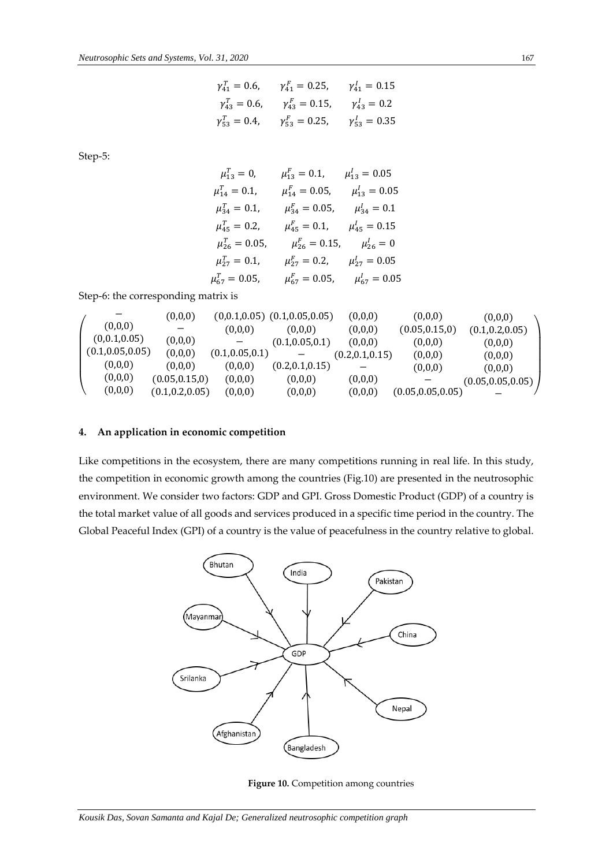$$
\gamma_{41}^T = 0.6,
$$
  $\gamma_{41}^F = 0.25,$   $\gamma_{41}^I = 0.15$   
\n $\gamma_{43}^T = 0.6,$   $\gamma_{43}^F = 0.15,$   $\gamma_{43}^I = 0.2$   
\n $\gamma_{53}^T = 0.4,$   $\gamma_{53}^F = 0.25,$   $\gamma_{53}^I = 0.35$ 

Step-5:

| $\mu_{13}^T = 0$ ,    | $\mu_{13}^F = 0.1$ ,  | $\mu_{13}^l = 0.05$      |
|-----------------------|-----------------------|--------------------------|
| $\mu_{14}^T = 0.1$ ,  | $\mu_{14}^F = 0.05$ , | $\mu_{13}^l = 0.05$      |
| $\mu_{34}^T = 0.1$ ,  | $\mu_{34}^F = 0.05$ , | $\mu_{34}^l = 0.1$       |
| $\mu_{45}^T = 0.2$ ,  | $\mu_{45}^F = 0.1$ ,  | $\mu_{45}^{\prime}=0.15$ |
| $\mu_{26}^T = 0.05$ , | $\mu_{26}^F = 0.15$ , | $\mu_{26}^l = 0$         |
| $\mu_{27}^T = 0.1$ ,  | $\mu_{27}^F = 0.2$ ,  | $\mu_{27}^l = 0.05$      |
| $\mu_{67}^T = 0.05,$  | $\mu_{67}^F = 0.05$ , | $\mu_{67}^{\prime}=0.05$ |

Step-6: the corresponding matrix is

|                   | (0,0,0)          |                  | $(0,0.1,0.05)$ $(0.1,0.05,0.05)$ | (0,0,0)          | (0,0,0)            | (0,0,0)            |
|-------------------|------------------|------------------|----------------------------------|------------------|--------------------|--------------------|
| (0,0,0)           |                  | (0,0,0)          | (0.0.0)                          | (0,0,0)          | (0.05, 0.15, 0)    | (0.1, 0.2, 0.05)   |
| (0,0.1,0.05)      | (0,0,0)          |                  | (0.1, 0.05, 0.1)                 | (0,0,0)          | (0,0,0)            | (0,0,0)            |
| (0.1, 0.05, 0.05) | (0,0,0)          | (0.1, 0.05, 0.1) |                                  | (0.2, 0.1, 0.15) | (0,0,0)            | (0,0,0)            |
| (0,0,0)           | (0,0,0)          | (0,0,0)          | (0.2, 0.1, 0.15)                 |                  | (0,0,0)            | (0,0,0)            |
| (0,0,0)           | (0.05, 0.15, 0)  | (0,0,0)          | (0,0,0)                          | (0,0,0)          |                    | (0.05, 0.05, 0.05) |
| (0,0,0)           | (0.1, 0.2, 0.05) | (0,0,0)          | (0,0,0)                          | (0,0,0)          | (0.05, 0.05, 0.05) |                    |

## **4. An application in economic competition**

Like competitions in the ecosystem, there are many competitions running in real life. In this study, the competition in economic growth among the countries (Fig.10) are presented in the neutrosophic environment. We consider two factors: GDP and GPI. Gross Domestic Product (GDP) of a country is the total market value of all goods and services produced in a specific time period in the country. The Global Peaceful Index (GPI) of a country is the value of peacefulness in the country relative to global.



**Figure 10.** Competition among countries

*Kousik Das, Sovan Samanta and Kajal De; Generalized neutrosophic competition graph*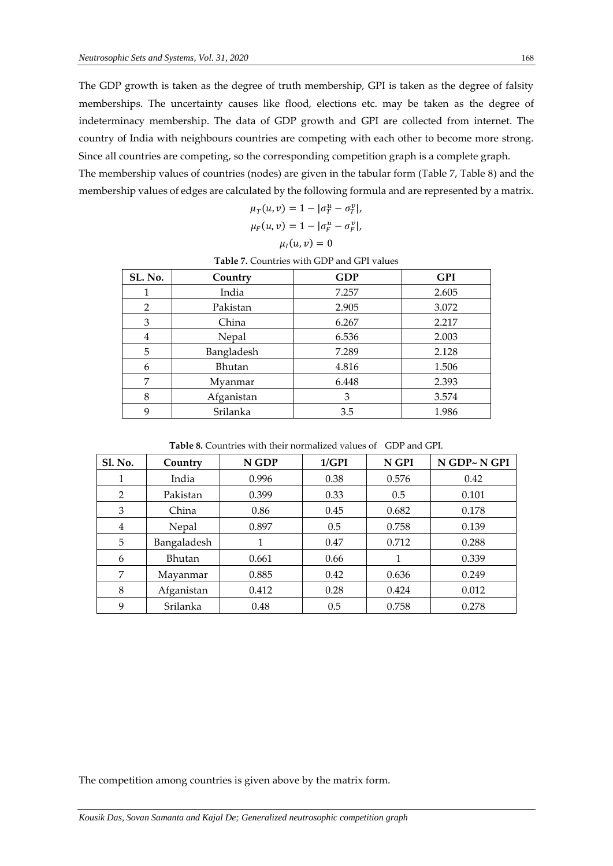The GDP growth is taken as the degree of truth membership, GPI is taken as the degree of falsity memberships. The uncertainty causes like flood, elections etc. may be taken as the degree of indeterminacy membership. The data of GDP growth and GPI are collected from internet. The country of India with neighbours countries are competing with each other to become more strong. Since all countries are competing, so the corresponding competition graph is a complete graph.

The membership values of countries (nodes) are given in the tabular form (Table 7, Table 8) and the membership values of edges are calculated by the following formula and are represented by a matrix.

$$
\mu_T(u, v) = 1 - |\sigma_T^u - \sigma_T^v|,
$$
  

$$
\mu_T(u, v) = 1 - |\sigma_T^u - \sigma_T^v|
$$

$$
\mu_F(u,v)=1-|\sigma_F^u-\sigma_F^v|,
$$

$$
\mu_I(u,v)=0
$$

|                | <b>Table 7. Countries with GDP and GPI values</b> |            |            |  |  |
|----------------|---------------------------------------------------|------------|------------|--|--|
| SL. No.        | Country                                           | <b>GDP</b> | <b>GPI</b> |  |  |
|                | India                                             | 7.257      | 2.605      |  |  |
| $\overline{2}$ | Pakistan                                          | 2.905      | 3.072      |  |  |
| 3              | China                                             | 6.267      | 2.217      |  |  |
| 4              | Nepal                                             | 6.536      | 2.003      |  |  |
| 5              | Bangladesh                                        | 7.289      | 2.128      |  |  |
| 6              | <b>Bhutan</b>                                     | 4.816      | 1.506      |  |  |
| 7              | Myanmar                                           | 6.448      | 2.393      |  |  |
| 8              | Afganistan                                        | 3          | 3.574      |  |  |
| q              | Srilanka                                          | 3.5        | 1.986      |  |  |

**Table 8.** Countries with their normalized values of GDP and GPI.

| <b>Sl. No.</b> | Country     | N GDP | 1/GPI | N GPI | N GDP~N GPI |
|----------------|-------------|-------|-------|-------|-------------|
| 1              | India       | 0.996 | 0.38  | 0.576 | 0.42        |
| $\overline{2}$ | Pakistan    | 0.399 | 0.33  | 0.5   | 0.101       |
| 3              | China       | 0.86  | 0.45  | 0.682 | 0.178       |
| 4              | Nepal       | 0.897 | 0.5   | 0.758 | 0.139       |
| 5              | Bangaladesh |       | 0.47  | 0.712 | 0.288       |
| 6              | Bhutan      | 0.661 | 0.66  |       | 0.339       |
| 7              | Mayanmar    | 0.885 | 0.42  | 0.636 | 0.249       |
| 8              | Afganistan  | 0.412 | 0.28  | 0.424 | 0.012       |
| 9              | Srilanka    | 0.48  | 0.5   | 0.758 | 0.278       |

The competition among countries is given above by the matrix form.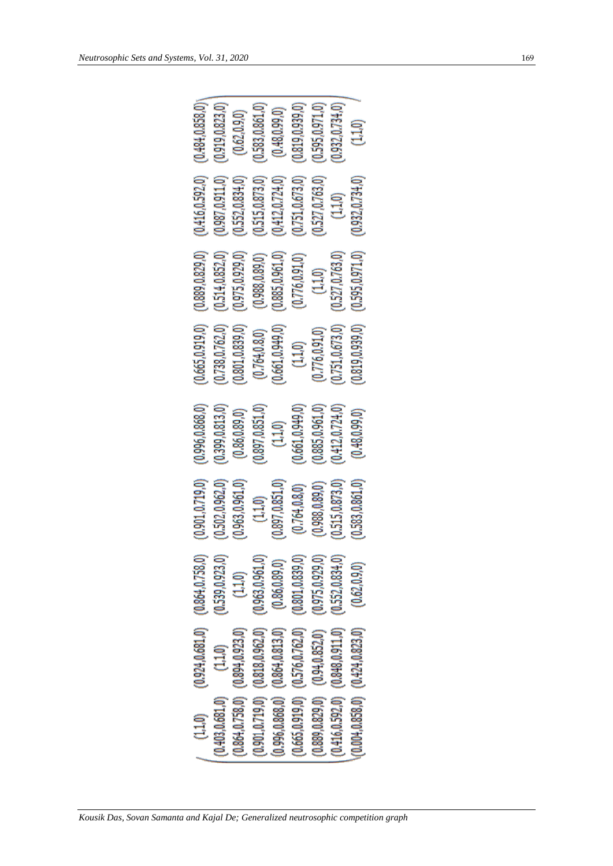| (0.484, 0.858, 0)<br>(0.919, 0.823, 0)<br>(0.583, 0.861, 0)<br>(0.819, 0.939, 0)<br>(0.595, 0.971, 0)<br>0.932, 0.734, 0)<br>(0.48, 0.99, 0)<br>(0.62, 0.9, 0)<br>(1.10)                                                                                                                                                                                                                                                                 |
|------------------------------------------------------------------------------------------------------------------------------------------------------------------------------------------------------------------------------------------------------------------------------------------------------------------------------------------------------------------------------------------------------------------------------------------|
| (0.416, 0.592, 0)<br>(0.987, 0.911, 0)<br>(0.515, 0.873, 0)<br>(0.552, 0.834, 0)<br>0.751, 0.673, 0)<br>0.527, 0.763, 0)<br>(0.932, 0.734, 0)<br>0,412,0.724,0)<br>(1,1,0)                                                                                                                                                                                                                                                               |
| (0.889, 0.829, 0)<br>(0.595, 0.971, 0)<br>(0.514, 0.852, 0)<br>(0.975, 0.929, 0)<br>0.885, 0.961, 0)<br>(0.527, 0.763, 0)<br>(0.988, 0.89, 0)<br>(0.776, 0.91, 0)<br>(1, 1, 0)                                                                                                                                                                                                                                                           |
| (0.665, 0.919, 0)<br>(0.738, 0.762, 0)<br>0.819, 0.939, 0)<br>0.801, 0.839, 0)<br>0.751, 0.673, 0)<br>0.661, 0.949, 0)<br>(0.776, 0.91, 0)<br>(0.764, 0.8, 0)<br>(1.1,0)                                                                                                                                                                                                                                                                 |
| (0.996, 0.868, 0)<br>(0.885, 0.961, 0)<br>(0.399, 0.813, 0)<br>(0.897, 0.851, 0)<br>(0.661, 0.949, 0)<br>(0.412, 0.724, 0)<br>(0.86, 0.89, 0)<br>(0.48, 0.99, 0)<br>(1.1,0)                                                                                                                                                                                                                                                              |
| 0.901, 0.719, 0)<br>(0.502, 0.962, 0)<br>0.583, 0.861, 0)<br>(0.963, 0.961, 0)<br>(0.897, 0.851, 0)<br>0.515,0.873,0<br>(0.988, 0.89, 0)<br>(0.764, 0.8, 0)<br>(1,1,0)                                                                                                                                                                                                                                                                   |
| (0.539, 0.923, 0)<br>(0.975, 0.929, 0)<br>(0.552, 0.834, 0)<br>(0.62, 0.9, 0)<br>(1.1,0)                                                                                                                                                                                                                                                                                                                                                 |
| $(0.924, 0.681, 0)$ $(0.864, 0.758, 0)$<br>$(0.301, 0.719, 0)$ $(0.818, 0.962, 0)$ $(0.963, 0.961, 0)$<br>$(0.665, 0.919, 0)$ $(0.576, 0.762, 0)$ $(0.801, 0.839, 0)$<br>$(0.996, 0.868, 0)$ $(0.864, 0.813, 0)$ $(0.86, 0.89, 0)$<br>$(0.416, 0.592, 0)$ $(0.848, 0.911, 0)$<br>$(0.004, 0.858, 0)$ $(0.424, 0.823, 0)$<br>$0.864, 0.758, 0)$ $(0.894, 0.923, 0)$<br>$(1.1, 0)$<br>$(1.1, 0)$<br>$(0.889, 0.829, 0)$ $(0.94, 0.852, 0)$ |
| (1.1,0)                                                                                                                                                                                                                                                                                                                                                                                                                                  |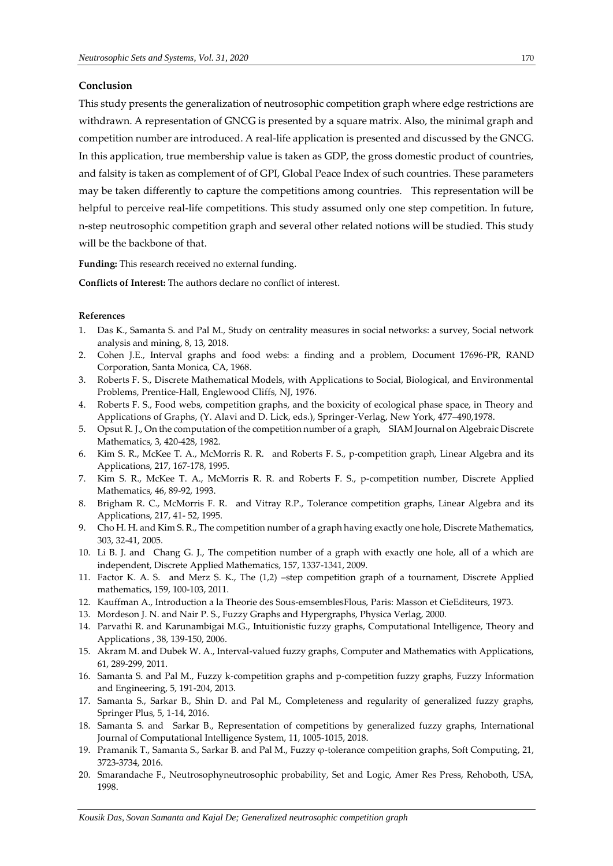#### **Conclusion**

This study presents the generalization of neutrosophic competition graph where edge restrictions are withdrawn. A representation of GNCG is presented by a square matrix. Also, the minimal graph and competition number are introduced. A real-life application is presented and discussed by the GNCG. In this application, true membership value is taken as GDP, the gross domestic product of countries, and falsity is taken as complement of of GPI, Global Peace Index of such countries. These parameters may be taken differently to capture the competitions among countries. This representation will be helpful to perceive real-life competitions. This study assumed only one step competition. In future, n-step neutrosophic competition graph and several other related notions will be studied. This study will be the backbone of that.

**Funding:** This research received no external funding.

**Conflicts of Interest:** The authors declare no conflict of interest.

### **References**

- 1. Das K., Samanta S. and Pal M., Study on centrality measures in social networks: a survey, Social network analysis and mining, 8, 13, 2018.
- 2. Cohen J.E., Interval graphs and food webs: a finding and a problem, Document 17696-PR, RAND Corporation, Santa Monica, CA, 1968.
- 3. Roberts F. S., Discrete Mathematical Models, with Applications to Social, Biological, and Environmental Problems, Prentice-Hall, Englewood Cliffs, NJ, 1976.
- 4. Roberts F. S., Food webs, competition graphs, and the boxicity of ecological phase space, in Theory and Applications of Graphs, (Y. Alavi and D. Lick, eds.), Springer-Verlag, New York, 477–490,1978.
- 5. Opsut R. J., On the computation of the competition number of a graph, SIAM Journal on Algebraic Discrete Mathematics, 3, 420-428, 1982.
- 6. Kim S. R., McKee T. A., McMorris R. R. and Roberts F. S., p-competition graph, Linear Algebra and its Applications, 217, 167-178, 1995.
- 7. Kim S. R., McKee T. A., McMorris R. R. and Roberts F. S., p-competition number, Discrete Applied Mathematics, 46, 89-92, 1993.
- 8. Brigham R. C., McMorris F. R. and Vitray R.P., Tolerance competition graphs, Linear Algebra and its Applications, 217, 41- 52, 1995.
- 9. Cho H. H. and Kim S. R., The competition number of a graph having exactly one hole, Discrete Mathematics, 303, 32-41, 2005.
- 10. Li B. J. and Chang G. J., The competition number of a graph with exactly one hole, all of a which are independent, Discrete Applied Mathematics, 157, 1337-1341, 2009.
- 11. Factor K. A. S. and Merz S. K., The (1,2) –step competition graph of a tournament, Discrete Applied mathematics, 159, 100-103, 2011.
- 12. Kauffman A., Introduction a la Theorie des Sous-emsemblesFlous, Paris: Masson et CieEditeurs, 1973.
- 13. Mordeson J. N. and Nair P. S., Fuzzy Graphs and Hypergraphs, Physica Verlag, 2000.
- 14. Parvathi R. and Karunambigai M.G., Intuitionistic fuzzy graphs, Computational Intelligence, Theory and Applications , 38, 139-150, 2006.
- 15. Akram M. and Dubek W. A., Interval-valued fuzzy graphs, Computer and Mathematics with Applications, 61, 289-299, 2011.
- 16. Samanta S. and Pal M., Fuzzy k-competition graphs and p-competition fuzzy graphs, Fuzzy Information and Engineering, 5, 191-204, 2013.
- 17. Samanta S., Sarkar B., Shin D. and Pal M., Completeness and regularity of generalized fuzzy graphs, Springer Plus, 5, 1-14, 2016.
- 18. Samanta S. and Sarkar B., Representation of competitions by generalized fuzzy graphs, International Journal of Computational Intelligence System, 11, 1005-1015, 2018.
- 19. Pramanik T., Samanta S., Sarkar B. and Pal M., Fuzzy φ-tolerance competition graphs, Soft Computing, 21, 3723-3734, 2016.
- 20. Smarandache F., Neutrosophyneutrosophic probability, Set and Logic, Amer Res Press, Rehoboth, USA, 1998.